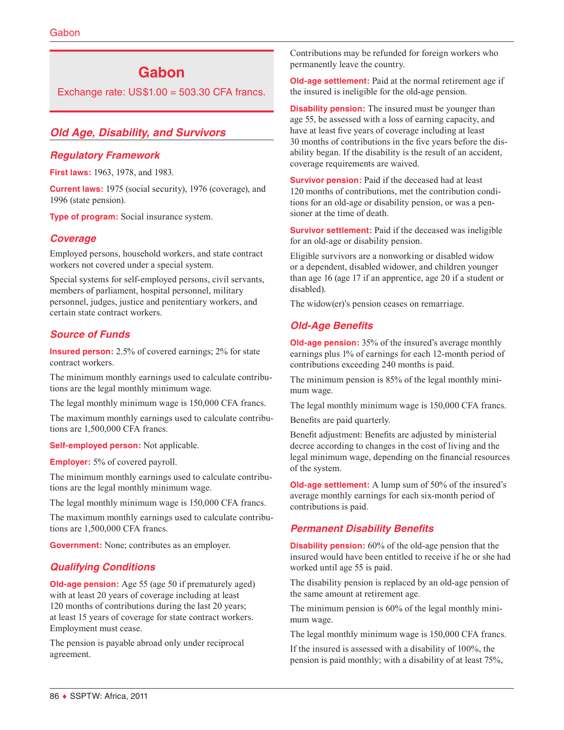# **Gabon**

Exchange rate:  $US$1.00 = 503.30$  CFA francs.

# *Old Age, Disability, and Survivors*

## *Regulatory Framework*

**First laws:** 1963, 1978, and 1983.

**Current laws:** 1975 (social security), 1976 (coverage), and 1996 (state pension).

**Type of program:** Social insurance system.

## *Coverage*

Employed persons, household workers, and state contract workers not covered under a special system.

Special systems for self-employed persons, civil servants, members of parliament, hospital personnel, military personnel, judges, justice and penitentiary workers, and certain state contract workers.

## *Source of Funds*

**Insured person:** 2.5% of covered earnings; 2% for state contract workers.

The minimum monthly earnings used to calculate contributions are the legal monthly minimum wage.

The legal monthly minimum wage is 150,000 CFA francs.

The maximum monthly earnings used to calculate contributions are 1,500,000 CFA francs.

**Self-employed person:** Not applicable.

**Employer:** 5% of covered payroll.

The minimum monthly earnings used to calculate contributions are the legal monthly minimum wage.

The legal monthly minimum wage is 150,000 CFA francs.

The maximum monthly earnings used to calculate contributions are 1,500,000 CFA francs.

**Government:** None; contributes as an employer.

## *Qualifying Conditions*

**Old-age pension:** Age 55 (age 50 if prematurely aged) with at least 20 years of coverage including at least 120 months of contributions during the last 20 years; at least 15 years of coverage for state contract workers. Employment must cease.

The pension is payable abroad only under reciprocal agreement.

Contributions may be refunded for foreign workers who permanently leave the country.

**Old-age settlement:** Paid at the normal retirement age if the insured is ineligible for the old-age pension.

**Disability pension:** The insured must be younger than age 55, be assessed with a loss of earning capacity, and have at least five years of coverage including at least 30 months of contributions in the five years before the disability began. If the disability is the result of an accident, coverage requirements are waived.

**Survivor pension:** Paid if the deceased had at least 120 months of contributions, met the contribution conditions for an old-age or disability pension, or was a pensioner at the time of death.

**Survivor settlement:** Paid if the deceased was ineligible for an old-age or disability pension.

Eligible survivors are a nonworking or disabled widow or a dependent, disabled widower, and children younger than age 16 (age 17 if an apprentice, age 20 if a student or disabled).

The widow(er)'s pension ceases on remarriage.

# *Old-Age Benefits*

**Old-age pension:** 35% of the insured's average monthly earnings plus 1% of earnings for each 12-month period of contributions exceeding 240 months is paid.

The minimum pension is 85% of the legal monthly minimum wage.

The legal monthly minimum wage is 150,000 CFA francs.

Benefits are paid quarterly.

Benefit adjustment: Benefits are adjusted by ministerial decree according to changes in the cost of living and the legal minimum wage, depending on the financial resources of the system.

**Old-age settlement:** A lump sum of 50% of the insured's average monthly earnings for each six-month period of contributions is paid.

## *Permanent Disability Benefits*

**Disability pension:** 60% of the old-age pension that the insured would have been entitled to receive if he or she had worked until age 55 is paid.

The disability pension is replaced by an old-age pension of the same amount at retirement age.

The minimum pension is 60% of the legal monthly minimum wage.

The legal monthly minimum wage is 150,000 CFA francs.

If the insured is assessed with a disability of 100%, the pension is paid monthly; with a disability of at least 75%,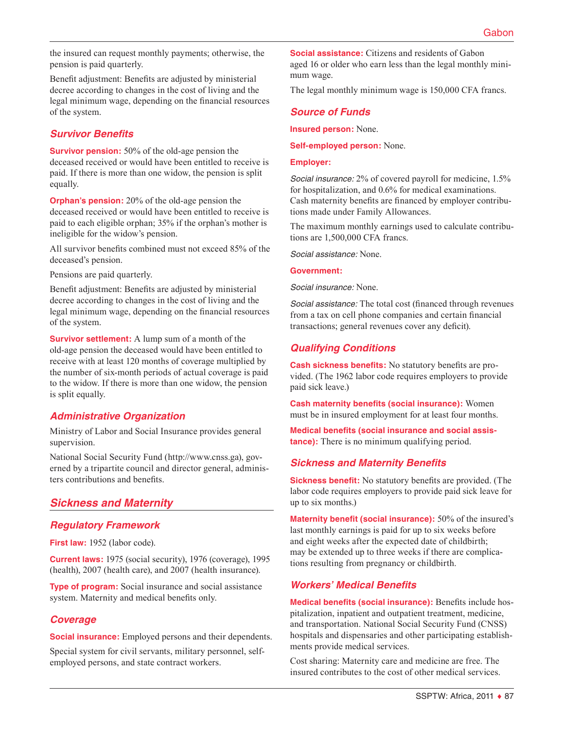the insured can request monthly payments; otherwise, the pension is paid quarterly.

Benefit adjustment: Benefits are adjusted by ministerial decree according to changes in the cost of living and the legal minimum wage, depending on the financial resources of the system.

#### *Survivor Benefits*

**Survivor pension:** 50% of the old-age pension the deceased received or would have been entitled to receive is paid. If there is more than one widow, the pension is split equally.

**Orphan's pension:** 20% of the old-age pension the deceased received or would have been entitled to receive is paid to each eligible orphan; 35% if the orphan's mother is ineligible for the widow's pension.

All survivor benefits combined must not exceed 85% of the deceased's pension.

Pensions are paid quarterly.

Benefit adjustment: Benefits are adjusted by ministerial decree according to changes in the cost of living and the legal minimum wage, depending on the financial resources of the system.

**Survivor settlement:** A lump sum of a month of the old-age pension the deceased would have been entitled to receive with at least 120 months of coverage multiplied by the number of six-month periods of actual coverage is paid to the widow. If there is more than one widow, the pension is split equally.

## *Administrative Organization*

Ministry of Labor and Social Insurance provides general supervision.

National Social Security Fund [\(http://www.cnss.ga\)](http://www.cnss.ga), governed by a tripartite council and director general, administers contributions and benefits.

# *Sickness and Maternity*

## *Regulatory Framework*

**First law:** 1952 (labor code).

**Current laws:** 1975 (social security), 1976 (coverage), 1995 (health), 2007 (health care), and 2007 (health insurance).

**Type of program:** Social insurance and social assistance system. Maternity and medical benefits only.

## *Coverage*

**Social insurance:** Employed persons and their dependents.

Special system for civil servants, military personnel, selfemployed persons, and state contract workers.

**Social assistance:** Citizens and residents of Gabon aged 16 or older who earn less than the legal monthly minimum wage.

The legal monthly minimum wage is 150,000 CFA francs.

# *Source of Funds*

**Insured person:** None.

**Self-employed person:** None.

#### **Employer:**

*Social insurance:* 2% of covered payroll for medicine, 1.5% for hospitalization, and 0.6% for medical examinations. Cash maternity benefits are financed by employer contributions made under Family Allowances.

The maximum monthly earnings used to calculate contributions are 1,500,000 CFA francs.

*Social assistance:* None.

#### **Government:**

*Social insurance:* None.

*Social assistance:* The total cost (financed through revenues from a tax on cell phone companies and certain financial transactions; general revenues cover any deficit).

## *Qualifying Conditions*

**Cash sickness benefits:** No statutory benefits are provided. (The 1962 labor code requires employers to provide paid sick leave.)

**Cash maternity benefits (social insurance):** Women must be in insured employment for at least four months.

**Medical benefits (social insurance and social assistance):** There is no minimum qualifying period.

# *Sickness and Maternity Benefits*

**Sickness benefit:** No statutory benefits are provided. (The labor code requires employers to provide paid sick leave for up to six months.)

**Maternity benefit (social insurance):** 50% of the insured's last monthly earnings is paid for up to six weeks before and eight weeks after the expected date of childbirth; may be extended up to three weeks if there are complications resulting from pregnancy or childbirth.

## *Workers' Medical Benefits*

**Medical benefits (social insurance):** Benefits include hospitalization, inpatient and outpatient treatment, medicine, and transportation. National Social Security Fund (CNSS) hospitals and dispensaries and other participating establishments provide medical services.

Cost sharing: Maternity care and medicine are free. The insured contributes to the cost of other medical services.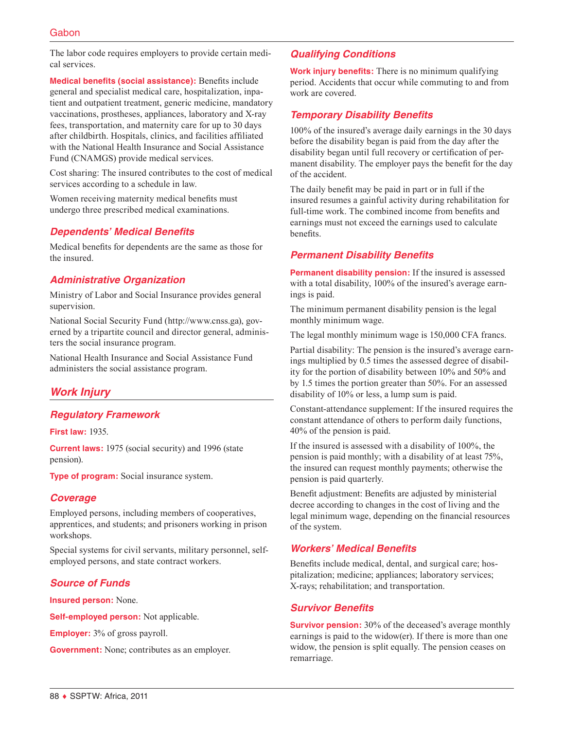The labor code requires employers to provide certain medical services.

**Medical benefits (social assistance):** Benefits include general and specialist medical care, hospitalization, inpatient and outpatient treatment, generic medicine, mandatory vaccinations, prostheses, appliances, laboratory and X-ray fees, transportation, and maternity care for up to 30 days after childbirth. Hospitals, clinics, and facilities affiliated with the National Health Insurance and Social Assistance Fund (CNAMGS) provide medical services.

Cost sharing: The insured contributes to the cost of medical services according to a schedule in law.

Women receiving maternity medical benefits must undergo three prescribed medical examinations.

## *Dependents' Medical Benefits*

Medical benefits for dependents are the same as those for the insured.

## *Administrative Organization*

Ministry of Labor and Social Insurance provides general supervision.

National Social Security Fund [\(http://www.cnss.ga\)](http://www.cnss.ga), governed by a tripartite council and director general, administers the social insurance program.

National Health Insurance and Social Assistance Fund administers the social assistance program.

# *Work Injury*

## *Regulatory Framework*

**First law:** 1935.

**Current laws:** 1975 (social security) and 1996 (state pension).

**Type of program:** Social insurance system.

#### *Coverage*

Employed persons, including members of cooperatives, apprentices, and students; and prisoners working in prison workshops.

Special systems for civil servants, military personnel, selfemployed persons, and state contract workers.

## *Source of Funds*

**Insured person:** None.

**Self-employed person:** Not applicable.

**Employer:** 3% of gross payroll.

**Government:** None; contributes as an employer.

## *Qualifying Conditions*

**Work injury benefits:** There is no minimum qualifying period. Accidents that occur while commuting to and from work are covered.

## *Temporary Disability Benefits*

100% of the insured's average daily earnings in the 30 days before the disability began is paid from the day after the disability began until full recovery or certification of permanent disability. The employer pays the benefit for the day of the accident.

The daily benefit may be paid in part or in full if the insured resumes a gainful activity during rehabilitation for full-time work. The combined income from benefits and earnings must not exceed the earnings used to calculate benefits.

#### *Permanent Disability Benefits*

**Permanent disability pension:** If the insured is assessed with a total disability, 100% of the insured's average earnings is paid.

The minimum permanent disability pension is the legal monthly minimum wage.

The legal monthly minimum wage is 150,000 CFA francs.

Partial disability: The pension is the insured's average earnings multiplied by 0.5 times the assessed degree of disability for the portion of disability between 10% and 50% and by 1.5 times the portion greater than 50%. For an assessed disability of 10% or less, a lump sum is paid.

Constant-attendance supplement: If the insured requires the constant attendance of others to perform daily functions, 40% of the pension is paid.

If the insured is assessed with a disability of 100%, the pension is paid monthly; with a disability of at least 75%, the insured can request monthly payments; otherwise the pension is paid quarterly.

Benefit adjustment: Benefits are adjusted by ministerial decree according to changes in the cost of living and the legal minimum wage, depending on the financial resources of the system.

#### *Workers' Medical Benefits*

Benefits include medical, dental, and surgical care; hospitalization; medicine; appliances; laboratory services; X-rays; rehabilitation; and transportation.

#### *Survivor Benefits*

**Survivor pension:** 30% of the deceased's average monthly earnings is paid to the widow(er). If there is more than one widow, the pension is split equally. The pension ceases on remarriage.